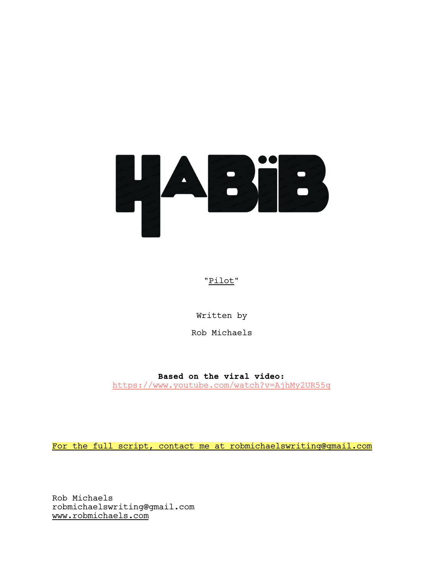

# "Pilot"

Written by

Rob Michaels

**Based on the viral video:** https://www.youtube.com/watch?v=AjhMy2UR55g

For the full script, contact me at robmichaelswriting@gmail.com

Rob Michaels robmichaelswriting@gmail.com www.robmichaels.com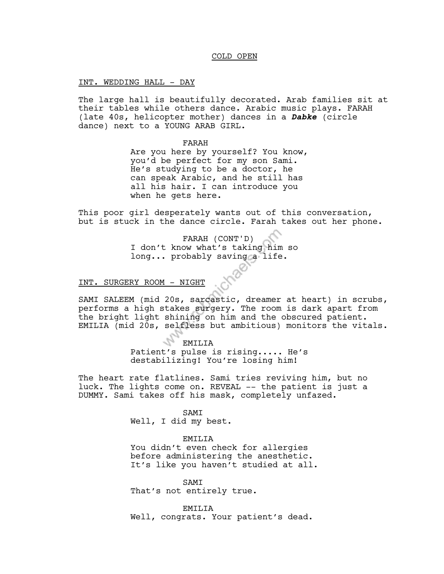## COLD OPEN

INT. WEDDING HALL - DAY

The large hall is beautifully decorated. Arab families sit at their tables while others dance. Arabic music plays. FARAH (late 40s, helicopter mother) dances in a *Dabke* (circle dance) next to a YOUNG ARAB GIRL.

FARAH

Are you here by yourself? You know, you'd be perfect for my son Sami. He's studying to be a doctor, he can speak Arabic, and he still has all his hair. I can introduce you when he gets here.

This poor girl desperately wants out of this conversation, but is stuck in the dance circle. Farah takes out her phone.

> FARAH (CONT'D) I don't know what's taking him so long... probably saving a life.

# INT. SURGERY ROOM - NIGHT

SAMI SALEEM (mid 20s, sarcastic, dreamer at heart) in scrubs, performs a high stakes surgery. The room is dark apart from the bright light shining on him and the obscured patient. EMILIA (mid 20s, selfless but ambitious) monitors the vitals.

## EMILIA

Patient's pulse is rising..... He's destabilizing! You're losing him!

The heart rate flatlines. Sami tries reviving him, but no luck. The lights come on. REVEAL -- the patient is just a DUMMY. Sami takes off his mask, completely unfazed.

#### SAMI

Well, I did my best.

### EMILIA

You didn't even check for allergies before administering the anesthetic. It's like you haven't studied at all.

SAMI That's not entirely true.

EMILIA Well, congrats. Your patient's dead.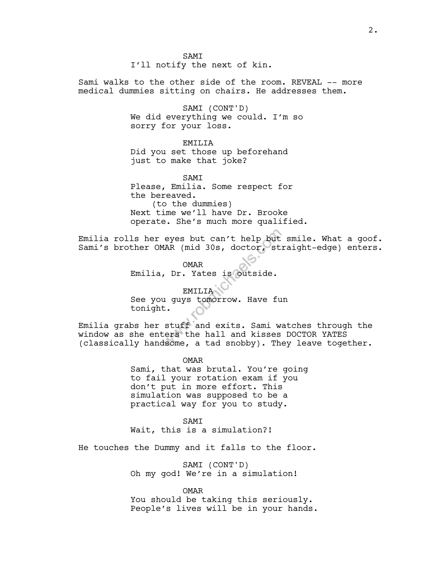**SAMT** 

I'll notify the next of kin.

Sami walks to the other side of the room. REVEAL -- more medical dummies sitting on chairs. He addresses them.

> SAMI (CONT'D) We did everything we could. I'm so sorry for your loss.

> > EMILIA

Did you set those up beforehand just to make that joke?

SAMI Please, Emilia. Some respect for the bereaved. (to the dummies) Next time we'll have Dr. Brooke operate. She's much more qualified.

Emilia rolls her eyes but can't help but smile. What a goof. Sami's brother OMAR (mid 30s, doctor, straight-edge) enters.

> OMAR Emilia, Dr. Yates is outside.

**EMILIA** See you guys tomorrow. Have fun tonight.

Emilia grabs her stuff and exits. Sami watches through the window as she enters the hall and kisses DOCTOR YATES (classically handsome, a tad snobby). They leave together.

> OMAR Sami, that was brutal. You're going to fail your rotation exam if you don't put in more effort. This simulation was supposed to be a practical way for you to study.

SAMI Wait, this is a simulation?!

He touches the Dummy and it falls to the floor.

SAMI (CONT'D) Oh my god! We're in a simulation!

OMAR You should be taking this seriously. People's lives will be in your hands.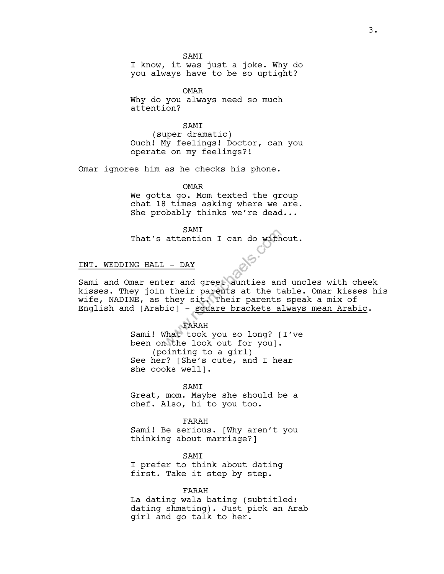**SAMT** 

I know, it was just a joke. Why do you always have to be so uptight?

OMAR Why do you always need so much attention?

SAMI (super dramatic) Ouch! My feelings! Doctor, can you operate on my feelings?!

Omar ignores him as he checks his phone.

OMAR

We gotta go. Mom texted the group chat 18 times asking where we are. She probably thinks we're dead...

SAMI That's attention I can do without.

# INT. WEDDING HALL - DAY

Sami and Omar enter and greet aunties and uncles with cheek kisses. They join their parents at the table. Omar kisses his wife, NADINE, as they sit. Their parents speak a mix of English and [Arabic] - square brackets always mean Arabic.

> FARAH Sami! What took you so long? [I've been on the look out for you]. (pointing to a girl) See her? [She's cute, and I hear she cooks well].

SAMI Great, mom. Maybe she should be a chef. Also, hi to you too.

FARAH Sami! Be serious. [Why aren't you thinking about marriage?]

SAMI I prefer to think about dating first. Take it step by step.

FARAH La dating wala bating (subtitled: dating shmating). Just pick an Arab girl and go talk to her.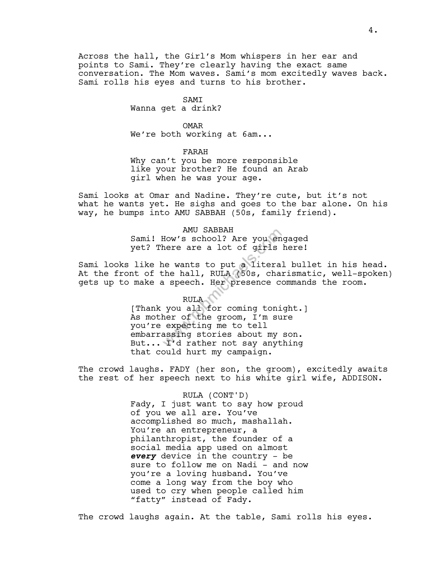Across the hall, the Girl's Mom whispers in her ear and points to Sami. They're clearly having the exact same conversation. The Mom waves. Sami's mom excitedly waves back. Sami rolls his eyes and turns to his brother.

## SAMI

Wanna get a drink?

### OMAR

We're both working at  $6am...$ 

# FARAH

Why can't you be more responsible like your brother? He found an Arab girl when he was your age.

Sami looks at Omar and Nadine. They're cute, but it's not what he wants yet. He sighs and goes to the bar alone. On his way, he bumps into AMU SABBAH (50s, family friend).

> AMU SABBAH Sami! How's school? Are you engaged yet? There are a lot of girls here!

Sami looks like he wants to put a literal bullet in his head. At the front of the hall, RULA (50s, charismatic, well-spoken) gets up to make a speech. Her presence commands the room.

# RULA [Thank you all for coming tonight.] As mother of the groom, I'm sure you're expecting me to tell embarrassing stories about my son. But... I'd rather not say anything that could hurt my campaign.

The crowd laughs. FADY (her son, the groom), excitedly awaits the rest of her speech next to his white girl wife, ADDISON.

#### RULA (CONT'D)

Fady, I just want to say how proud of you we all are. You've accomplished so much, mashallah. You're an entrepreneur, a philanthropist, the founder of a social media app used on almost *every* device in the country - be sure to follow me on Nadi - and now you're a loving husband. You've come a long way from the boy who used to cry when people called him "fatty" instead of Fady.

The crowd laughs again. At the table, Sami rolls his eyes.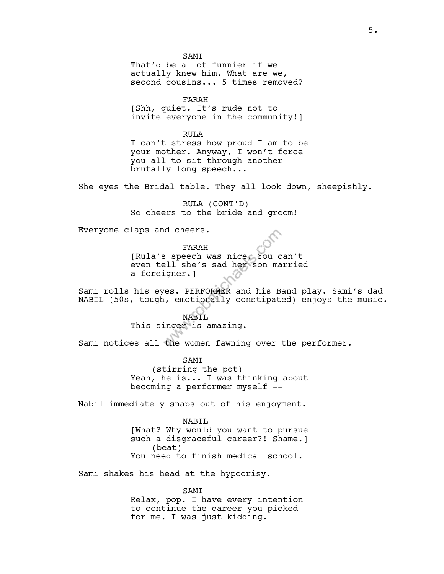**SAMT** That'd be a lot funnier if we actually knew him. What are we, second cousins... 5 times removed?

FARAH [Shh, quiet. It's rude not to invite everyone in the community!]

RULA I can't stress how proud I am to be your mother. Anyway, I won't force you all to sit through another brutally long speech...

She eyes the Bridal table. They all look down, sheepishly.

RULA (CONT'D) So cheers to the bride and groom!

Everyone claps and cheers.

FARAH

[Rula's speech was nice. You can't even tell she's sad her son married a foreigner.]

Sami rolls his eyes. PERFORMER and his Band play. Sami's dad NABIL (50s, tough, emotionally constipated) enjoys the music.

> NABIL This singer is amazing.

Sami notices all the women fawning over the performer.

**SAMT** (stirring the pot) Yeah, he is... I was thinking about becoming a performer myself --

Nabil immediately snaps out of his enjoyment.

NABIL [What? Why would you want to pursue such a disgraceful career?! Shame.] (beat) You need to finish medical school.

Sami shakes his head at the hypocrisy.

SAMI Relax, pop. I have every intention to continue the career you picked for me. I was just kidding.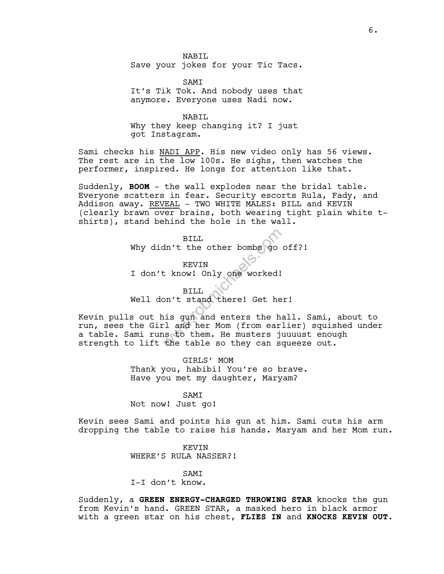NABIL. Save your jokes for your Tic Tacs.

SAMI It's Tik Tok. And nobody uses that anymore. Everyone uses Nadi now.

NABIL Why they keep changing it? I just got Instagram.

Sami checks his NADI APP. His new video only has 56 views. The rest are in the low 100s. He sighs, then watches the performer, inspired. He longs for attention like that.

Suddenly, **BOOM** - the wall explodes near the bridal table. Everyone scatters in fear. Security escorts Rula, Fady, and Addison away. REVEAL - TWO WHITE MALES: BILL and KEVIN (clearly brawn over brains, both wearing tight plain white tshirts), stand behind the hole in the wall.

> BILL Why didn't the other bombs go off?!

KEVIN I don't know! Only one worked!

BILL

Well don't stand there! Get her!

Kevin pulls out his gun and enters the hall. Sami, about to run, sees the Girl and her Mom (from earlier) squished under a table. Sami runs to them. He musters juuuust enough strength to lift the table so they can squeeze out.

> GIRLS' MOM Thank you, habibi! You're so brave. Have you met my daughter, Maryam?

SAMI Not now! Just go!

Kevin sees Sami and points his gun at him. Sami cuts his arm dropping the table to raise his hands. Maryam and her Mom run.

> KEVIN WHERE'S RULA NASSER?!

> > SAMI

I-I don't know.

Suddenly, a **GREEN ENERGY-CHARGED THROWING STAR** knocks the gun from Kevin's hand. GREEN STAR, a masked hero in black armor with a green star on his chest, **FLIES IN** and **KNOCKS KEVIN OUT.**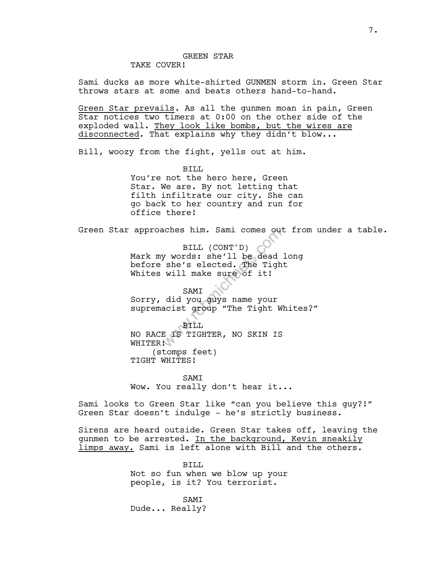# TAKE COVER!

Sami ducks as more white-shirted GUNMEN storm in. Green Star throws stars at some and beats others hand-to-hand.

Green Star prevails. As all the gunmen moan in pain, Green Star notices two timers at 0:00 on the other side of the exploded wall. They look like bombs, but the wires are disconnected. That explains why they didn't blow...

Bill, woozy from the fight, yells out at him.

BILL. You're not the hero here, Green Star. We are. By not letting that filth infiltrate our city. She can go back to her country and run for office there!

Green Star approaches him. Sami comes out from under a table.

BILL (CONT'D) Mark my words: she'll be dead long before she's elected. The Tight Whites will make sure of it!

SAMI Sorry, did you guys name your supremacist group "The Tight Whites?"

BILL NO RACE IS TIGHTER, NO SKIN IS WHITER! (stomps feet) TIGHT WHITES!

**SAMT** Wow. You really don't hear it...

Sami looks to Green Star like "can you believe this guy?!" Green Star doesn't indulge - he's strictly business.

Sirens are heard outside. Green Star takes off, leaving the gunmen to be arrested. In the background, Kevin sneakily limps away. Sami is left alone with Bill and the others.

> BILL. Not so fun when we blow up your people, is it? You terrorist.

SAMI Dude... Really?